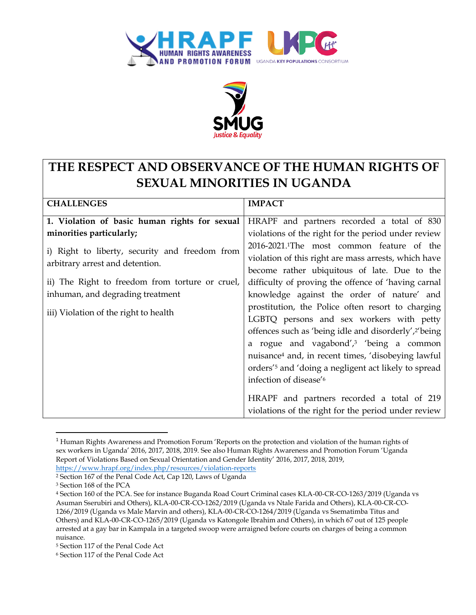



## **THE RESPECT AND OBSERVANCE OF THE HUMAN RIGHTS OF SEXUAL MINORITIES IN UGANDA**

| <b>CHALLENGES</b>                                                                 | <b>IMPACT</b>                                                     |
|-----------------------------------------------------------------------------------|-------------------------------------------------------------------|
| 1. Violation of basic human rights for sexual                                     | HRAPF and partners recorded a total of 830                        |
| minorities particularly;                                                          | violations of the right for the period under review               |
| i) Right to liberty, security and freedom from<br>arbitrary arrest and detention. | 2016-2021. <sup>1</sup> The most common feature of the            |
|                                                                                   | violation of this right are mass arrests, which have              |
|                                                                                   | become rather ubiquitous of late. Due to the                      |
| ii) The Right to freedom from torture or cruel,                                   | difficulty of proving the offence of 'having carnal               |
| inhuman, and degrading treatment                                                  | knowledge against the order of nature' and                        |
| iii) Violation of the right to health                                             | prostitution, the Police often resort to charging                 |
|                                                                                   | LGBTQ persons and sex workers with petty                          |
|                                                                                   | offences such as 'being idle and disorderly', <sup>2'</sup> being |
|                                                                                   | a rogue and vagabond', <sup>3</sup> 'being a common               |
|                                                                                   | nuisance <sup>4</sup> and, in recent times, 'disobeying lawful    |
|                                                                                   | orders' <sup>5</sup> and 'doing a negligent act likely to spread  |
|                                                                                   | infection of disease' <sup>6</sup>                                |
|                                                                                   |                                                                   |
|                                                                                   | HRAPF and partners recorded a total of 219                        |
|                                                                                   | violations of the right for the period under review               |

<sup>&</sup>lt;sup>1</sup> Human Rights Awareness and Promotion Forum 'Reports on the protection and violation of the human rights of sex workers in Uganda' 2016, 2017, 2018, 2019. See also Human Rights Awareness and Promotion Forum 'Uganda Report of Violations Based on Sexual Orientation and Gender Identity' 2016, 2017, 2018, 2019, <https://www.hrapf.org/index.php/resources/violation-reports>

 $\overline{a}$ 

<sup>2</sup> Section 167 of the Penal Code Act, Cap 120, Laws of Uganda

<sup>3</sup> Section 168 of the PCA

<sup>4</sup> Section 160 of the PCA. See for instance Buganda Road Court Criminal cases KLA-00-CR-CO-1263/2019 (Uganda vs Asuman Sserubiri and Others), KLA-00-CR-CO-1262/2019 (Uganda vs Ntale Farida and Others), KLA-00-CR-CO-1266/2019 (Uganda vs Male Marvin and others), KLA-00-CR-CO-1264/2019 (Uganda vs Ssematimba Titus and Others) and KLA-00-CR-CO-1265/2019 (Uganda vs Katongole Ibrahim and Others), in which 67 out of 125 people arrested at a gay bar in Kampala in a targeted swoop were arraigned before courts on charges of being a common nuisance.

<sup>5</sup> Section 117 of the Penal Code Act

<sup>6</sup> Section 117 of the Penal Code Act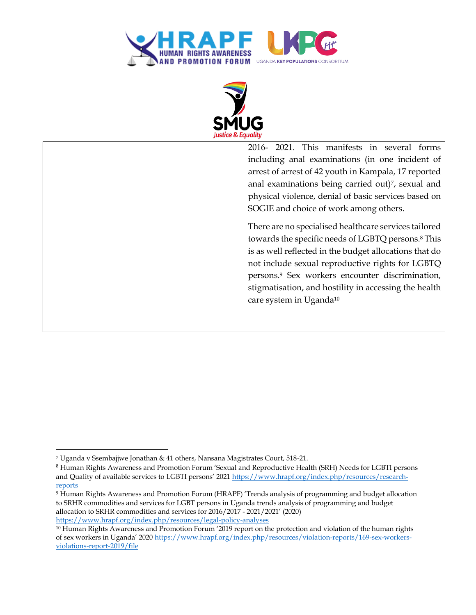



2016- 2021. This manifests in several forms including anal examinations (in one incident of arrest of arrest of 42 youth in Kampala, 17 reported anal examinations being carried out)7, sexual and physical violence, denial of basic services based on SOGIE and choice of work among others. There are no specialised healthcare services tailored towards the specific needs of LGBTQ persons.<sup>8</sup> This is as well reflected in the budget allocations that do not include sexual reproductive rights for LGBTQ persons.<sup>9</sup> Sex workers encounter discrimination, stigmatisation, and hostility in accessing the health care system in Uganda<sup>10</sup>

 $\overline{\phantom{a}}$ 

<sup>7</sup> Uganda v Ssembajjwe Jonathan & 41 others, Nansana Magistrates Court, 518-21.

<sup>8</sup> Human Rights Awareness and Promotion Forum 'Sexual and Reproductive Health (SRH) Needs for LGBTI persons and Quality of available services to LGBTI persons' 2021 [https://www.hrapf.org/index.php/resources/research](https://www.hrapf.org/index.php/resources/research-reports)[reports](https://www.hrapf.org/index.php/resources/research-reports)

<sup>9</sup> Human Rights Awareness and Promotion Forum (HRAPF) 'Trends analysis of programming and budget allocation to SRHR commodities and services for LGBT persons in Uganda trends analysis of programming and budget allocation to SRHR commodities and services for 2016/2017 - 2021/2021' (2020) <https://www.hrapf.org/index.php/resources/legal-policy-analyses>

<sup>10</sup> Human Rights Awareness and Promotion Forum '2019 report on the protection and violation of the human rights of sex workers in Uganda' 2020 [https://www.hrapf.org/index.php/resources/violation-reports/169-sex-workers](https://www.hrapf.org/index.php/resources/violation-reports/169-sex-workers-violations-report-2019/file)[violations-report-2019/file](https://www.hrapf.org/index.php/resources/violation-reports/169-sex-workers-violations-report-2019/file)